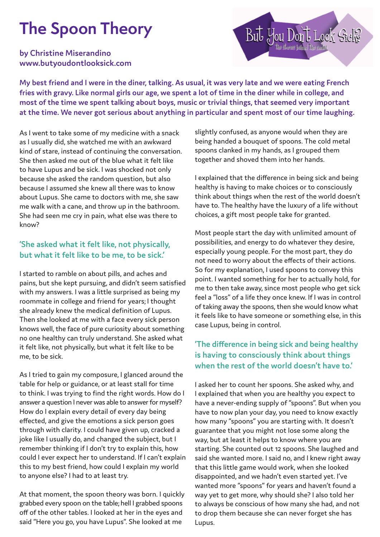# **The Spoon Theory**

**by Christine Miserandino www.butyoudontlooksick.com**



**My best friend and I were in the diner, talking. As usual, it was very late and we were eating French fries with gravy. Like normal girls our age, we spent a lot of time in the diner while in college, and most of the time we spent talking about boys, music or trivial things, that seemed very important at the time. We never got serious about anything in particular and spent most of our time laughing.**

As I went to take some of my medicine with a snack as I usually did, she watched me with an awkward kind of stare, instead of continuing the conversation. She then asked me out of the blue what it felt like to have Lupus and be sick. I was shocked not only because she asked the random question, but also because I assumed she knew all there was to know about Lupus. She came to doctors with me, she saw me walk with a cane, and throw up in the bathroom. She had seen me cry in pain, what else was there to know?

#### **'She asked what it felt like, not physically, but what it felt like to be me, to be sick.'**

I started to ramble on about pills, and aches and pains, but she kept pursuing, and didn't seem satisfied with my answers. I was a little surprised as being my roommate in college and friend for years; I thought she already knew the medical definition of Lupus. Then she looked at me with a face every sick person knows well, the face of pure curiosity about something no one healthy can truly understand. She asked what it felt like, not physically, but what it felt like to be me, to be sick.

As I tried to gain my composure, I glanced around the table for help or guidance, or at least stall for time to think. I was trying to find the right words. How do I answer a question I never was able to answer for myself? How do I explain every detail of every day being effected, and give the emotions a sick person goes through with clarity. I could have given up, cracked a joke like I usually do, and changed the subject, but I remember thinking if I don't try to explain this, how could I ever expect her to understand. If I can't explain this to my best friend, how could I explain my world to anyone else? I had to at least try.

At that moment, the spoon theory was born. I quickly grabbed every spoon on the table; hell I grabbed spoons off of the other tables. I looked at her in the eyes and said "Here you go, you have Lupus". She looked at me

slightly confused, as anyone would when they are being handed a bouquet of spoons. The cold metal spoons clanked in my hands, as I grouped them together and shoved them into her hands.

I explained that the difference in being sick and being healthy is having to make choices or to consciously think about things when the rest of the world doesn't have to. The healthy have the luxury of a life without choices, a gift most people take for granted.

Most people start the day with unlimited amount of possibilities, and energy to do whatever they desire, especially young people. For the most part, they do not need to worry about the effects of their actions. So for my explanation, I used spoons to convey this point. I wanted something for her to actually hold, for me to then take away, since most people who get sick feel a "loss" of a life they once knew. If I was in control of taking away the spoons, then she would know what it feels like to have someone or something else, in this case Lupus, being in control.

## **'The difference in being sick and being healthy is having to consciously think about things when the rest of the world doesn't have to.'**

I asked her to count her spoons. She asked why, and I explained that when you are healthy you expect to have a never-ending supply of "spoons". But when you have to now plan your day, you need to know exactly how many "spoons" you are starting with. It doesn't guarantee that you might not lose some along the way, but at least it helps to know where you are starting. She counted out 12 spoons. She laughed and said she wanted more. I said no, and I knew right away that this little game would work, when she looked disappointed, and we hadn't even started yet. I've wanted more "spoons" for years and haven't found a way yet to get more, why should she? I also told her to always be conscious of how many she had, and not to drop them because she can never forget she has Lupus.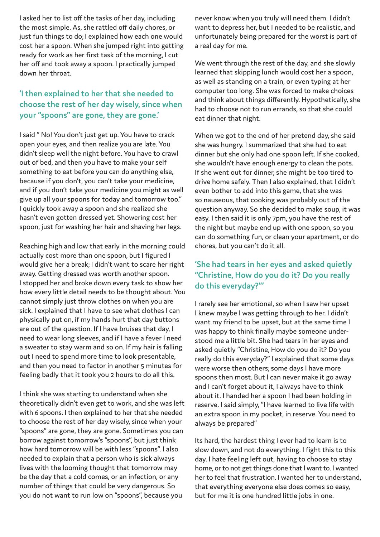I asked her to list off the tasks of her day, including the most simple. As, she rattled off daily chores, or just fun things to do; I explained how each one would cost her a spoon. When she jumped right into getting ready for work as her first task of the morning, I cut her off and took away a spoon. I practically jumped down her throat.

## **'I then explained to her that she needed to choose the rest of her day wisely, since when your "spoons" are gone, they are gone.'**

I said " No! You don't just get up. You have to crack open your eyes, and then realize you are late. You didn't sleep well the night before. You have to crawl out of bed, and then you have to make your self something to eat before you can do anything else, because if you don't, you can't take your medicine, and if you don't take your medicine you might as well give up all your spoons for today and tomorrow too." I quickly took away a spoon and she realized she hasn't even gotten dressed yet. Showering cost her spoon, just for washing her hair and shaving her legs.

Reaching high and low that early in the morning could actually cost more than one spoon, but I figured I would give her a break; I didn't want to scare her right away. Getting dressed was worth another spoon. I stopped her and broke down every task to show her how every little detail needs to be thought about. You cannot simply just throw clothes on when you are sick. I explained that I have to see what clothes I can physically put on, if my hands hurt that day buttons are out of the question. If I have bruises that day, I need to wear long sleeves, and if I have a fever I need a sweater to stay warm and so on. If my hair is falling out I need to spend more time to look presentable, and then you need to factor in another 5 minutes for feeling badly that it took you 2 hours to do all this.

I think she was starting to understand when she theoretically didn't even get to work, and she was left with 6 spoons. I then explained to her that she needed to choose the rest of her day wisely, since when your "spoons" are gone, they are gone. Sometimes you can borrow against tomorrow's "spoons", but just think how hard tomorrow will be with less "spoons". I also needed to explain that a person who is sick always lives with the looming thought that tomorrow may be the day that a cold comes, or an infection, or any number of things that could be very dangerous. So you do not want to run low on "spoons", because you

never know when you truly will need them. I didn't want to depress her, but I needed to be realistic, and unfortunately being prepared for the worst is part of a real day for me.

We went through the rest of the day, and she slowly learned that skipping lunch would cost her a spoon, as well as standing on a train, or even typing at her computer too long. She was forced to make choices and think about things differently. Hypothetically, she had to choose not to run errands, so that she could eat dinner that night.

When we got to the end of her pretend day, she said she was hungry. I summarized that she had to eat dinner but she only had one spoon left. If she cooked, she wouldn't have enough energy to clean the pots. If she went out for dinner, she might be too tired to drive home safely. Then I also explained, that I didn't even bother to add into this game, that she was so nauseous, that cooking was probably out of the question anyway. So she decided to make soup, it was easy. I then said it is only 7pm, you have the rest of the night but maybe end up with one spoon, so you can do something fun, or clean your apartment, or do chores, but you can't do it all.

## **'She had tears in her eyes and asked quietly "Christine, How do you do it? Do you really do this everyday?"'**

I rarely see her emotional, so when I saw her upset I knew maybe I was getting through to her. I didn't want my friend to be upset, but at the same time I was happy to think finally maybe someone understood me a little bit. She had tears in her eyes and asked quietly "Christine, How do you do it? Do you really do this everyday?" I explained that some days were worse then others; some days I have more spoons then most. But I can never make it go away and I can't forget about it, I always have to think about it. I handed her a spoon I had been holding in reserve. I said simply, "I have learned to live life with an extra spoon in my pocket, in reserve. You need to always be prepared"

Its hard, the hardest thing I ever had to learn is to slow down, and not do everything. I fight this to this day. I hate feeling left out, having to choose to stay home, or to not get things done that I want to. I wanted her to feel that frustration. I wanted her to understand, that everything everyone else does comes so easy, but for me it is one hundred little jobs in one.